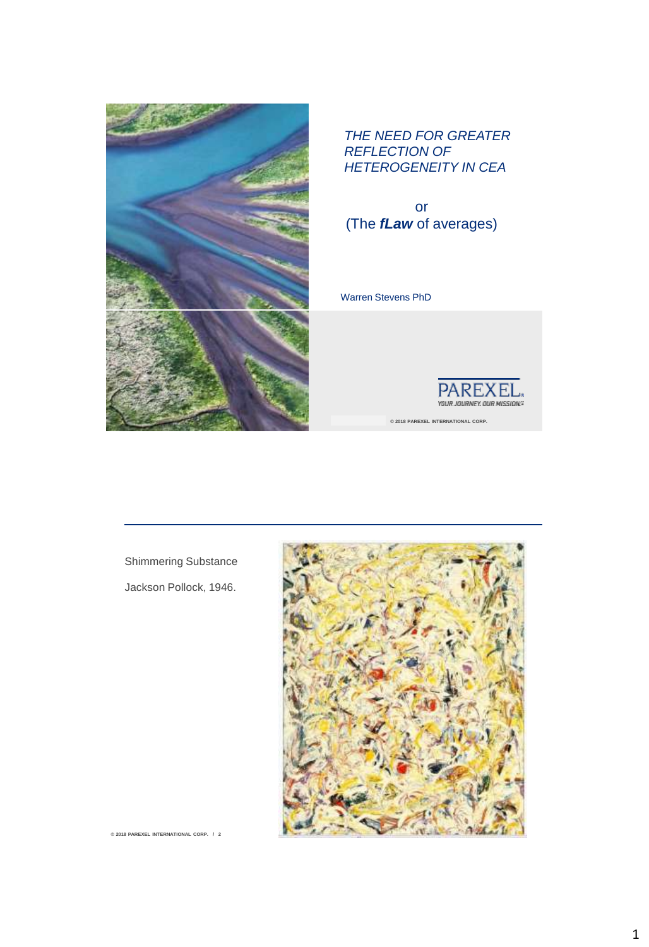

#### *THE NEED FOR GREATER REFLECTION OF HETEROGENEITY IN CEA*

or (The *fLaw* of averages)

Warren Stevens PhD



**CONFIDENTIAL © 2018 PAREXEL INTERNATIONAL CORP.** 

Shimmering Substance Jackson Pollock, 1946.



 $@ 2018$  PAREXEL INTERNATIONAL CORP. / 2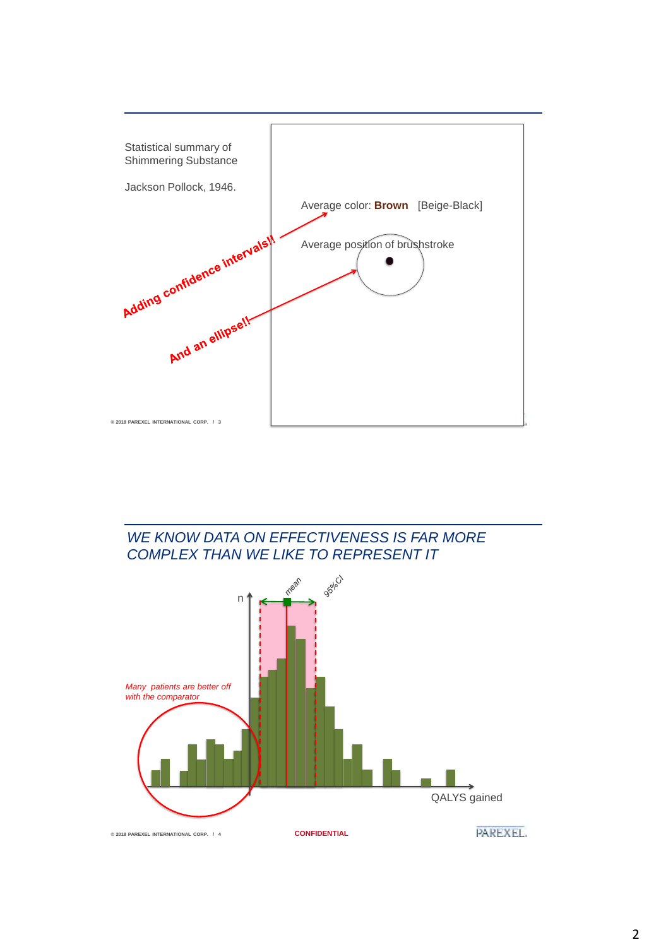

*WE KNOW DATA ON EFFECTIVENESS IS FAR MORE COMPLEX THAN WE LIKE TO REPRESENT IT*

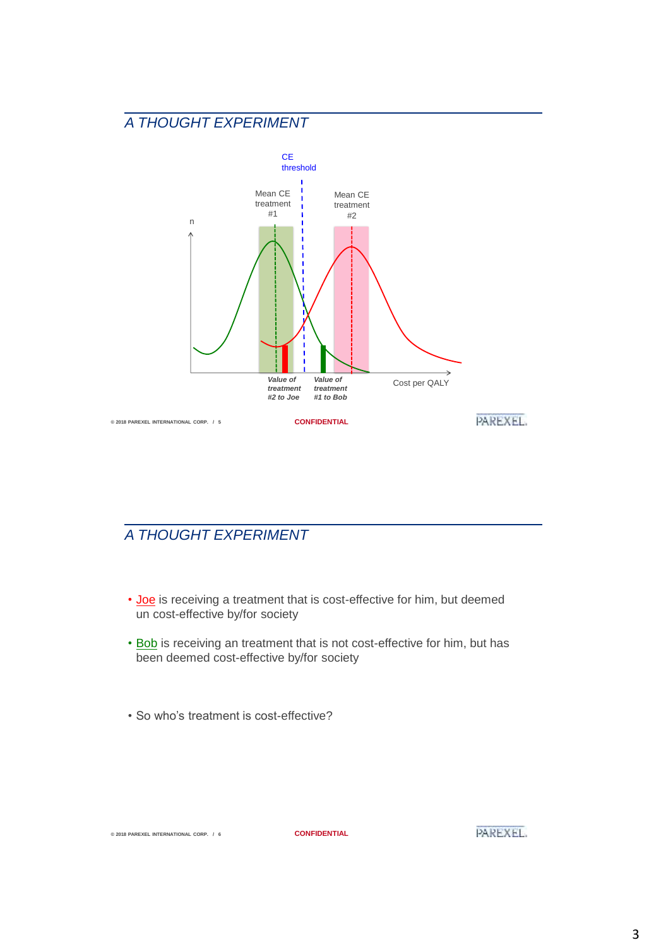

## *A THOUGHT EXPERIMENT*

- Joe is receiving a treatment that is cost-effective for him, but deemed un cost-effective by/for society
- Bob is receiving an treatment that is not cost-effective for him, but has been deemed cost-effective by/for society
- So who's treatment is cost-effective?

**© 2018 PAREXEL INTERNATIONAL CORP. / 6 CONFIDENTIAL**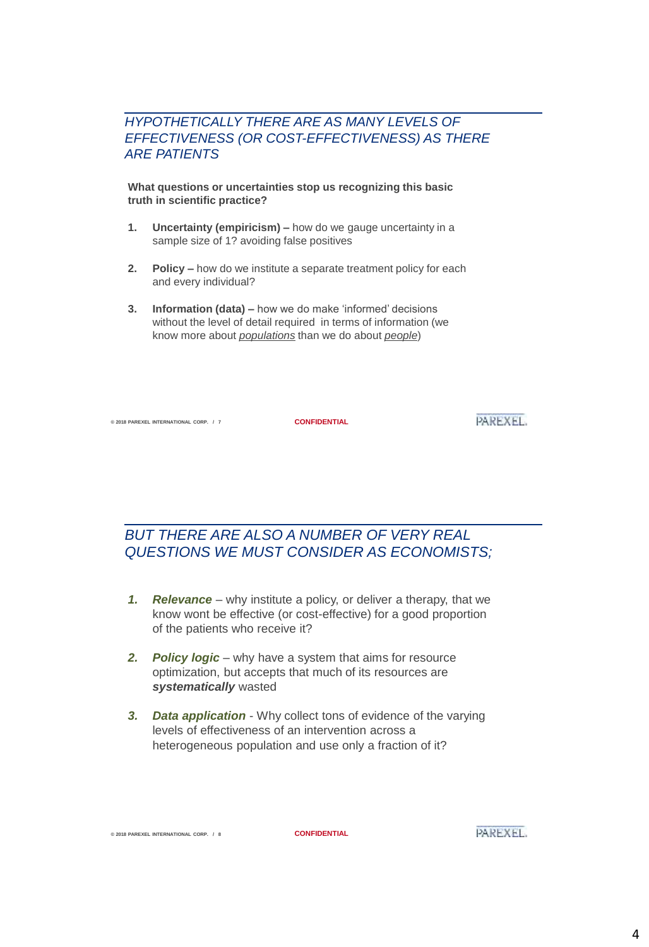#### *HYPOTHETICALLY THERE ARE AS MANY LEVELS OF EFFECTIVENESS (OR COST-EFFECTIVENESS) AS THERE ARE PATIENTS*

**What questions or uncertainties stop us recognizing this basic truth in scientific practice?**

- **1. Uncertainty (empiricism) –** how do we gauge uncertainty in a sample size of 1? avoiding false positives
- **2. Policy –** how do we institute a separate treatment policy for each and every individual?
- **3. Information (data) –** how we do make 'informed' decisions without the level of detail required in terms of information (we know more about *populations* than we do about *people*)

**© 2018 PAREXEL INTERNATIONAL CORP. / 7 CONFIDENTIAL**

PAREXEL.

### *BUT THERE ARE ALSO A NUMBER OF VERY REAL QUESTIONS WE MUST CONSIDER AS ECONOMISTS;*

- *1. Relevance* why institute a policy, or deliver a therapy, that we know wont be effective (or cost-effective) for a good proportion of the patients who receive it?
- *2. Policy logic* why have a system that aims for resource optimization, but accepts that much of its resources are *systematically* wasted
- *3. Data application*  Why collect tons of evidence of the varying levels of effectiveness of an intervention across a heterogeneous population and use only a fraction of it?

**© 2018 PAREXEL INTERNATIONAL CORP. / 8 CONFIDENTIAL**

PAREXEL.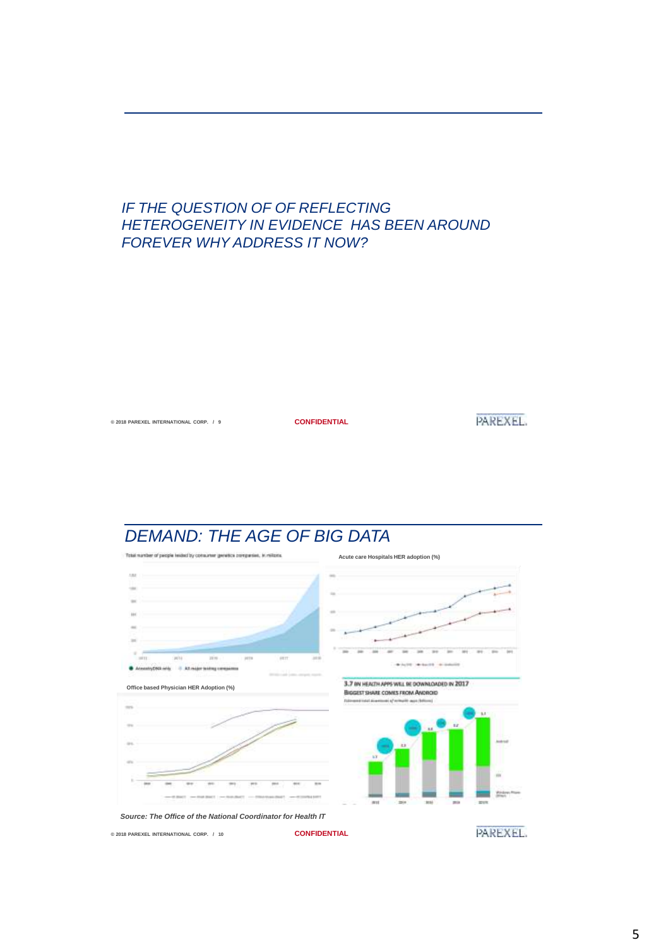#### *IF THE QUESTION OF OF REFLECTING HETEROGENEITY IN EVIDENCE HAS BEEN AROUND FOREVER WHY ADDRESS IT NOW?*

**© 2018 PAREXEL INTERNATIONAL CORP. / 9 CONFIDENTIAL**

**PAREXEL** 

# *DEMAND: THE AGE OF BIG DATA*

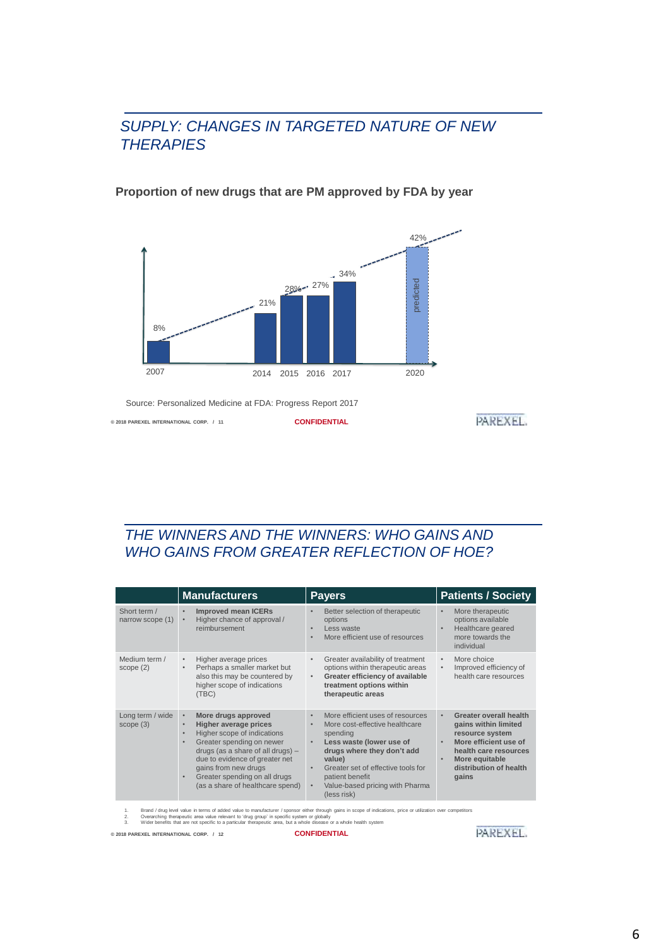#### *SUPPLY: CHANGES IN TARGETED NATURE OF NEW THERAPIES*

#### **Proportion of new drugs that are PM approved by FDA by year**



Source: Personalized Medicine at FDA: Progress Report 2017

**© 2018 PAREXEL INTERNATIONAL CORP. / 11 CONFIDENTIAL**

```
PAREXEL
```
## *THE WINNERS AND THE WINNERS: WHO GAINS AND WHO GAINS FROM GREATER REFLECTION OF HOE?*

|                                  | <b>Manufacturers</b>                                                                                                                                                                                                                                                                                                  | <b>Payers</b>                                                                                                                                                                                                                                                                           | <b>Patients / Society</b>                                                                                                                                                                          |
|----------------------------------|-----------------------------------------------------------------------------------------------------------------------------------------------------------------------------------------------------------------------------------------------------------------------------------------------------------------------|-----------------------------------------------------------------------------------------------------------------------------------------------------------------------------------------------------------------------------------------------------------------------------------------|----------------------------------------------------------------------------------------------------------------------------------------------------------------------------------------------------|
| Short term /<br>narrow scope (1) | <b>Improved mean ICERs</b><br>$\bullet$<br>Higher chance of approval /<br>$\bullet$<br>reimbursement                                                                                                                                                                                                                  | Better selection of therapeutic<br>options<br>Less waste<br>More efficient use of resources                                                                                                                                                                                             | More therapeutic<br>۰<br>options available<br>Healthcare geared<br>$\bullet$<br>more towards the<br>individual                                                                                     |
| Medium term /<br>scope(2)        | Higher average prices<br>$\bullet$<br>Perhaps a smaller market but<br>٠<br>also this may be countered by<br>higher scope of indications<br>(TBC)                                                                                                                                                                      | Greater availability of treatment<br>options within therapeutic areas<br>Greater efficiency of available<br>treatment options within<br>therapeutic areas                                                                                                                               | More choice<br>$\bullet$<br>Improved efficiency of<br>$\bullet$<br>health care resources                                                                                                           |
| Long term / wide<br>scope(3)     | More drugs approved<br>$\bullet$<br>Higher average prices<br>$\bullet$<br>Higher scope of indications<br>٠<br>Greater spending on newer<br>٠<br>drugs (as a share of all drugs) -<br>due to evidence of greater net<br>gains from new drugs<br>Greater spending on all drugs<br>٠<br>(as a share of healthcare spend) | More efficient uses of resources<br>$\bullet$<br>More cost-effective healthcare<br>spending<br>Less waste (lower use of<br>drugs where they don't add<br>value)<br>Greater set of effective tools for<br>patient benefit<br>Value-based pricing with Pharma<br>$\bullet$<br>(less risk) | Greater overall health<br>$\bullet$<br>gains within limited<br>resource system<br>More efficient use of<br>$\bullet$<br>health care resources<br>More equitable<br>distribution of health<br>gains |

1. Brand / drug level value in terms of added value to manufacturer / sponsor either through gains in scope of indications, price or utilization over competitors<br>2. Overarching therapeutic area value relevant to 'drug grou

**© 2018 PAREXEL INTERNATIONAL CORP. / 12 CONFIDENTIAL**

**PAREXEL**